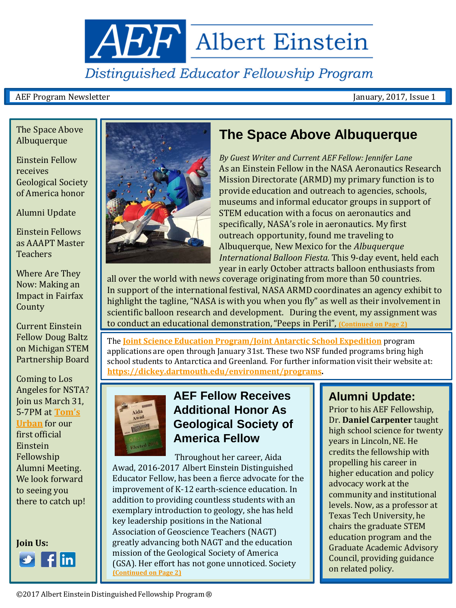# Distinguished Educator Fellowship Program

<span id="page-0-0"></span>**AEF** Albert Einstein

### AEF Program Newsletter January, 2017, Issue 1

The Space Above Albuquerque

Einstein Fellow receives Geological Society of America honor

Alumni Update

Einstein Fellows as AAAPT Master Teachers

Where Are They Now: Making an Impact in Fairfax County

Current Einstein Fellow Doug Baltz on Michigan STEM Partnership Board

Coming to Los Angeles for NSTA? Join us March 31, 5-7PM at **[Tom's](http://www.tomsurban.com/)  [Urban](http://www.tomsurban.com/)** for our first official Einstein Fellowship Alumni Meeting. We look forward to seeing you there to catch up!





## **The Space Above Albuquerque**

*By Guest Writer and Current AEF Fellow: Jennifer Lane* As an Einstein Fellow in the NASA Aeronautics Research Mission Directorate (ARMD) my primary function is to provide education and outreach to agencies, schools, museums and informal educator groups in support of STEM education with a focus on aeronautics and specifically, NASA's role in aeronautics. My first outreach opportunity, found me traveling to Albuquerque, New Mexico for the *Albuquerque International Balloon Fiesta.* This 9-day event, held each year in early October attracts balloon enthusiasts from

all over the world with news coverage originating from more than 50 countries. In support of the international festival, NASA ARMD coordinates an agency exhibit to highlight the tagline, "NASA is with you when you fly" as well as their involvement in scientific balloon research and development. During the event, my assignment was to conduct an educational demonstration,"Peeps in Peril", **[\(Continued on Page 2\)](#page-0-0)**

The **[Joint Science Education Program/Joint Antarctic School Expedition](https://drive.google.com/file/d/0B6BghVLpUx57aGF2VVdJay1kVVkxTUVTVjQzdzl1R0RXQ0xj/view)** program applications are open through January 31st. These two NSF funded programs bring high school students to Antarctica and Greenland. For further information visit their website at: **[https://dickey.dartmouth.edu/environment/programs.](https://dickey.dartmouth.edu/environment/programs)** 



## **AEF Fellow Receives Additional Honor As Geological Society of America Fellow**

 Throughout her career, Aida Awad, 2016-2017 Albert Einstein Distinguished Educator Fellow, has been a fierce advocate for the improvement of K-12 earth-science education. In addition to providing countless students with an exemplary introduction to geology, she has held key leadership positions in the National Association of Geoscience Teachers (NAGT) greatly advancing both NAGT and the education mission of the Geological Society of America (GSA). Her effort has not gone unnoticed. Society **[\(Continued on Page 2\)](#page-0-0)**

## **Alumni Update:**

Prior to his AEF Fellowship, Dr. **Daniel Carpenter** taught high school science for twenty years in Lincoln, NE. He credits the fellowship with propelling his career in higher education and policy advocacy work at the community and institutional levels. Now, as a professor at Texas Tech University, he chairs the graduate STEM education program and the Graduate Academic Advisory Council, providing guidance on related policy.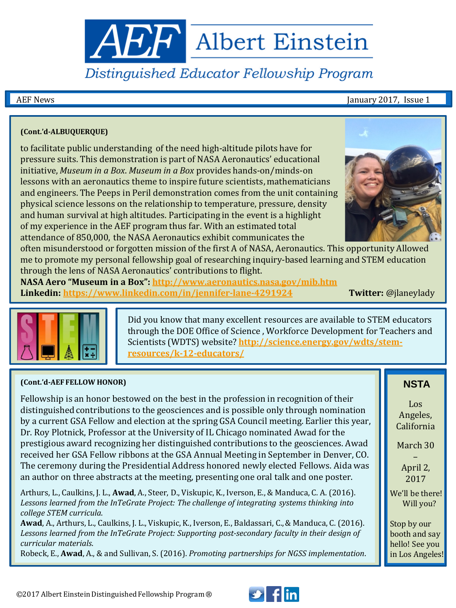**ABF** Albert Einstein

# Distinguished Educator Fellowship Program

AEF News **Internal Contract of the Contract of the Contract of Tana Contract of Tana Contract of Tana Contract of Tana Contract of Tana Contract of Tana Contract of Tana Contract of Tana Contract of Tana Contract of Tana C** 

### **(Cont.'d-ALBUQUERQUE)**

to facilitate public understanding of the need high-altitude pilots have for pressure suits. This demonstration is part of NASA Aeronautics' educational initiative, *Museum in a Box*. *Museum in a Box* provides hands-on/minds-on lessons with an aeronautics theme to inspire future scientists, mathematicians and engineers. The Peeps in Peril demonstration comes from the unit containing physical science lessons on the relationship to temperature, pressure, density and human survival at high altitudes. Participating in the event is a highlight of my experience in the AEF program thus far. With an estimated total attendance of 850,000, the NASA Aeronautics exhibit communicates the



often misunderstood or forgotten mission of the first A of NASA, Aeronautics. This opportunity Allowed me to promote my personal fellowship goal of researching inquiry-based learning and STEM education through the lens of NASA Aeronautics' contributions to flight.

**NASA Aero "Museum in a Box":<http://www.aeronautics.nasa.gov/mib.htm> Linkedin: [https://www.linkedin.com/in/jennifer-lane-4291924](https://www.linkedin.com/in/jennifer-lane-4291924T) Twitter:** @jlaneylady



Did you know that many excellent resources are available to STEM educators through the DOE Office of Science , Workforce Development for Teachers and Scientists (WDTS) website? **[http://science.energy.gov/wdts/stem](http://science.energy.gov/wdts/stem-resources/k-12-educators/)[resources/k-12-educators/](http://science.energy.gov/wdts/stem-resources/k-12-educators/)**

### **(Cont.'d-AEF FELLOW HONOR)**

Fellowship is an honor bestowed on the best in the profession in recognition of their distinguished contributions to the geosciences and is possible only through nomination by a current GSA Fellow and election at the spring GSA Council meeting. Earlier this year, Dr. Roy Plotnick, Professor at the University of IL Chicago nominated Awad for the prestigious award recognizing her distinguished contributions to the geosciences. Awad received her GSA Fellow ribbons at the GSA Annual Meeting in September in Denver, CO. The ceremony during the Presidential Address honored newly elected Fellows. Aida was an author on three abstracts at the meeting, presenting one oral talk and one poster.

Arthurs, L., Caulkins, J. L., **Awad**, A., Steer, D., Viskupic, K., Iverson, E., & Manduca, C. A. (2016). *Lessons learned from the InTeGrate Project: The challenge of integrating systems thinking into college STEM curricula*.

**Awad**, A., Arthurs, L., Caulkins, J. L., Viskupic, K., Iverson, E., Baldassari, C., & Manduca, C. (2016). *Lessons learned from the InTeGrate Project: Supporting post-secondary faculty in their design of curricular materials*.

Robeck, E., **Awad**, A., & and Sullivan, S. (2016). *Promoting partnerships for NGSS implementation*.

### **NSTA**

Los Angeles, California

March 30

– April 2, 2017

 We'll be there! Will you?

Stop by our booth and say hello! See you in Los Angeles!

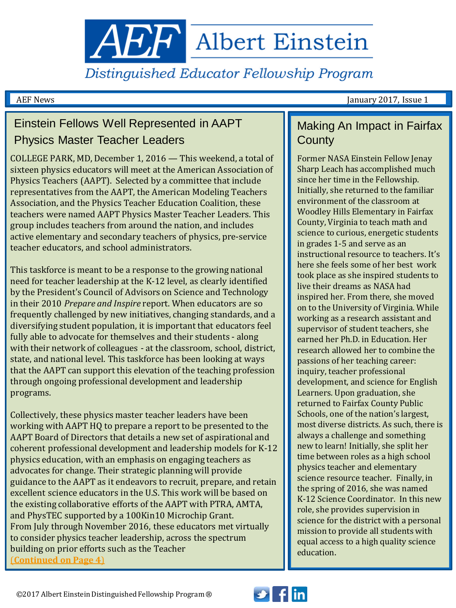**ABF** Albert Einstein

Distinguished Educator Fellowship Program

AEF News January 2017, Issue 1

## Einstein Fellows Well Represented in AAPT Physics Master Teacher Leaders

COLLEGE PARK, MD, December 1, 2016 — This weekend, a total of sixteen physics educators will meet at the American Association of Physics Teachers (AAPT). Selected by a committee that include representatives from the AAPT, the American Modeling Teachers Association, and the Physics Teacher Education Coalition, these teachers were named AAPT Physics Master Teacher Leaders. This group includes teachers from around the nation, and includes active elementary and secondary teachers of physics, pre-service teacher educators, and school administrators.

This taskforce is meant to be a response to the growing national need for teacher leadership at the K-12 level, as clearly identified by the President's Council of Advisors on Science and Technology in their 2010 *Prepare and Inspire* report. When educators are so frequently challenged by new initiatives, changing standards, and a diversifying student population, it is important that educators feel fully able to advocate for themselves and their students - along with their network of colleagues - at the classroom, school, district, state, and national level. This taskforce has been looking at ways that the AAPT can support this elevation of the teaching profession through ongoing professional development and leadership programs.

Collectively, these physics master teacher leaders have been working with AAPT HQ to prepare a report to be presented to the AAPT Board of Directors that details a new set of aspirational and coherent professional development and leadership models for K-12 physics education, with an emphasis on engaging teachers as advocates for change. Their strategic planning will provide guidance to the AAPT as it endeavors to recruit, prepare, and retain excellent science educators in the U.S. This work will be based on the existing collaborative efforts of the AAPT with PTRA, AMTA, and PhysTEC supported by a 100Kin10 Microchip Grant. From July through November 2016, these educators met virtually to consider physics teacher leadership, across the spectrum building on prior efforts such as the Teacher [\(](#page-3-0)**[Continued on Page 4](#page-3-0)**[\)](#page-3-0)

## Making An Impact in Fairfax **County**

Former NASA Einstein Fellow Jenay Sharp Leach has accomplished much since her time in the Fellowship. Initially, she returned to the familiar environment of the classroom at Woodley Hills Elementary in Fairfax County, Virginia to teach math and science to curious, energetic students in grades 1-5 and serve as an instructional resource to teachers. It's here she feels some of her best work took place as she inspired students to live their dreams as NASA had inspired her. From there, she moved on to the University of Virginia. While working as a research assistant and supervisor of student teachers, she earned her Ph.D. in Education. Her research allowed her to combine the passions of her teaching career: inquiry, teacher professional development, and science for English Learners. Upon graduation, she returned to Fairfax County Public Schools, one of the nation's largest, most diverse districts. As such, there is always a challenge and something new to learn! Initially, she split her time between roles as a high school physics teacher and elementary science resource teacher. Finally, in the spring of 2016, she was named K-12 Science Coordinator. In this new role, she provides supervision in science for the district with a personal mission to provide all students with equal access to a high quality science education.